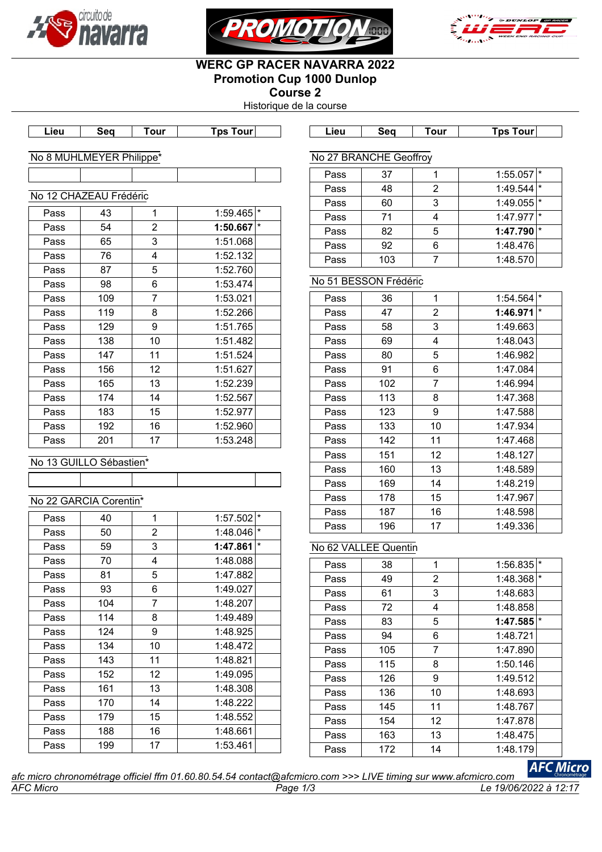





# **WERC GP RACER NAVARRA 2022 Promotion Cup 1000 Dunlop**

**Course 2** Historique de la course

**Lieu Seq Tour Tps Tour Lieu Seq Tour Tps Tour**

### No 8 MUHLMEYER Philippe\*

No 27 BRANCHE Geoffroy

|      | No 12 CHAZEAU Frédéric |                |                     |  |
|------|------------------------|----------------|---------------------|--|
| Pass | 43                     | 1              | $\star$<br>1:59.465 |  |
| Pass | 54                     | $\overline{2}$ | $\star$<br>1:50.667 |  |
| Pass | 65                     | 3              | 1:51.068            |  |
| Pass | 76                     | 4              | 1:52.132            |  |
| Pass | 87                     | 5              | 1:52.760            |  |
| Pass | 98                     | 6              | 1:53.474            |  |
| Pass | 109                    | $\overline{7}$ | 1:53.021            |  |
| Pass | 119                    | 8              | 1:52.266            |  |
| Pass | 129                    | 9              | 1:51.765            |  |
| Pass | 138                    | 10             | 1:51.482            |  |
| Pass | 147                    | 11             | 1:51.524            |  |
| Pass | 156                    | 12             | 1:51.627            |  |
| Pass | 165                    | 13             | 1:52.239            |  |
| Pass | 174                    | 14             | 1:52.567            |  |
| Pass | 183                    | 15             | 1:52.977            |  |
| Pass | 192                    | 16             | 1:52.960            |  |
| Pass | 201                    | 17             | 1:53.248            |  |

| No 13 GUILLO Sebastien^ |  |  |
|-------------------------|--|--|
|                         |  |  |

# No 22 GARCIA Corentin\*

| Pass | 40  | 1              | 1:57.502 | $\star$ |
|------|-----|----------------|----------|---------|
| Pass | 50  | 2              | 1:48.046 | $\star$ |
| Pass | 59  | 3              | 1:47.861 | $\star$ |
| Pass | 70  | 4              | 1:48.088 |         |
| Pass | 81  | 5              | 1:47.882 |         |
| Pass | 93  | 6              | 1:49.027 |         |
| Pass | 104 | $\overline{7}$ | 1:48.207 |         |
| Pass | 114 | 8              | 1:49.489 |         |
| Pass | 124 | 9              | 1:48.925 |         |
| Pass | 134 | 10             | 1:48.472 |         |
| Pass | 143 | 11             | 1:48.821 |         |
| Pass | 152 | 12             | 1:49.095 |         |
| Pass | 161 | 13             | 1:48.308 |         |
| Pass | 170 | 14             | 1:48.222 |         |
| Pass | 179 | 15             | 1:48.552 |         |
| Pass | 188 | 16             | 1:48.661 |         |
| Pass | 199 | 17             | 1:53.461 |         |
|      |     |                |          |         |

| Pass | 37  |   | $1:55.057$ *            |  |
|------|-----|---|-------------------------|--|
| Pass | 48  | 2 | 1:49.544                |  |
| Pass | 60  | 3 | 1:49.055                |  |
| Pass | 71  |   | $1:47.977$ <sup>*</sup> |  |
| Pass | 82  |   | $1:47.790$ <sup>*</sup> |  |
| Pass | 92  |   | 1:48.476                |  |
| Pass | 103 |   | 1:48.570                |  |

# No 51 BESSON Frédéric

| Pass | 36  | 1              | 1:54.564 | $\star$  |
|------|-----|----------------|----------|----------|
| Pass | 47  | 2              | 1:46.971 | $^\star$ |
| Pass | 58  | 3              | 1:49.663 |          |
| Pass | 69  | 4              | 1:48.043 |          |
| Pass | 80  | 5              | 1:46.982 |          |
| Pass | 91  | 6              | 1:47.084 |          |
| Pass | 102 | $\overline{7}$ | 1:46.994 |          |
| Pass | 113 | 8              | 1:47.368 |          |
| Pass | 123 | 9              | 1:47.588 |          |
| Pass | 133 | 10             | 1:47.934 |          |
| Pass | 142 | 11             | 1:47.468 |          |
| Pass | 151 | 12             | 1:48.127 |          |
| Pass | 160 | 13             | 1:48.589 |          |
| Pass | 169 | 14             | 1:48.219 |          |
| Pass | 178 | 15             | 1:47.967 |          |
| Pass | 187 | 16             | 1:48.598 |          |
| Pass | 196 | 17             | 1:49.336 |          |

# No 62 VALLEE Quentin

| Pass | 38  | 1              | $\star$<br>1:56.835     |
|------|-----|----------------|-------------------------|
| Pass | 49  | $\overline{2}$ | $\star$<br>1:48.368     |
| Pass | 61  | 3              | 1:48.683                |
| Pass | 72  | 4              | 1:48.858                |
| Pass | 83  | 5              | $1:47.585$ <sup>*</sup> |
| Pass | 94  | 6              | 1:48.721                |
| Pass | 105 | 7              | 1:47.890                |
| Pass | 115 | 8              | 1:50.146                |
| Pass | 126 | 9              | 1:49.512                |
| Pass | 136 | 10             | 1:48.693                |
| Pass | 145 | 11             | 1:48.767                |
| Pass | 154 | 12             | 1:47.878                |
| Pass | 163 | 13             | 1:48.475                |
| Pass | 172 | 14             | 1:48.179                |

*AFC Micro Page 1/3 Le 19/06/2022 à 12:17 afc micro chronométrage officiel ffm 01.60.80.54.54 contact@afcmicro.com >>> LIVE timing sur www.afcmicro.com*

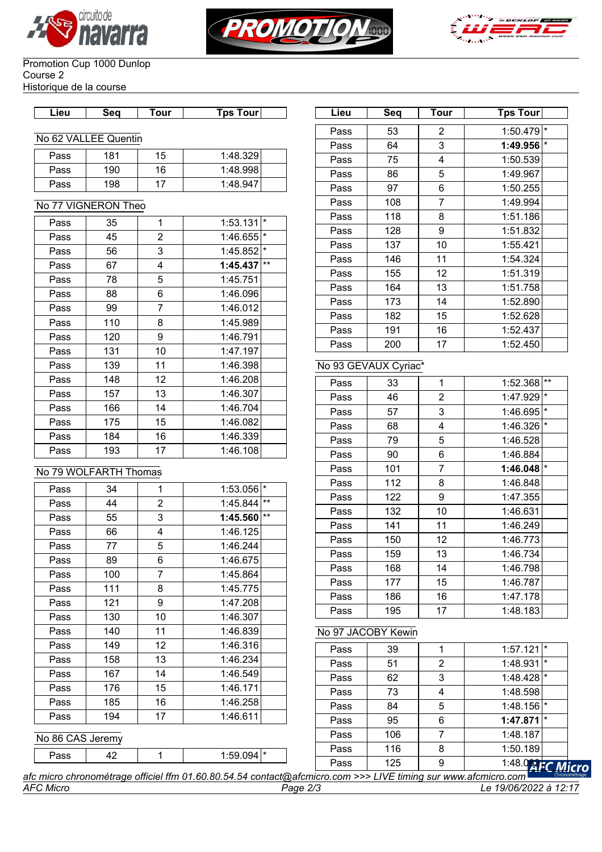





#### Promotion Cup 1000 Dunlop Course 2 Historique de la course

| Lieu | Sea | Tour | Tps Tourl |  |
|------|-----|------|-----------|--|
|      |     |      |           |  |

### No 62 VALLEE Quentin

| Pass | 181 | 15 | 1:48.329 |
|------|-----|----|----------|
| Pass | 190 | 16 | 1:48.998 |
| Pass | 198 |    | 1:48.947 |

### No 77 VIGNERON Theo

| Pass | 35  | 1              | 1:53.131 | $\star$ |
|------|-----|----------------|----------|---------|
| Pass | 45  | $\overline{2}$ | 1:46.655 | $\star$ |
| Pass | 56  | 3              | 1:45.852 | $\star$ |
| Pass | 67  | 4              | 1:45.437 | $***$   |
| Pass | 78  | 5              | 1:45.751 |         |
| Pass | 88  | 6              | 1:46.096 |         |
| Pass | 99  | $\overline{7}$ | 1:46.012 |         |
| Pass | 110 | 8              | 1:45.989 |         |
| Pass | 120 | 9              | 1:46.791 |         |
| Pass | 131 | 10             | 1:47.197 |         |
| Pass | 139 | 11             | 1:46.398 |         |
| Pass | 148 | 12             | 1:46.208 |         |
| Pass | 157 | 13             | 1:46.307 |         |
| Pass | 166 | 14             | 1:46.704 |         |
| Pass | 175 | 15             | 1:46.082 |         |
| Pass | 184 | 16             | 1:46.339 |         |
| Pass | 193 | 17             | 1:46.108 |         |

# No 79 WOLFARTH Thomas

| Pass | 34  | 1              | 1:53.056 | $\star$ |
|------|-----|----------------|----------|---------|
| Pass | 44  | $\overline{2}$ | 1:45.844 | $***$   |
| Pass | 55  | 3              | 1:45.560 | $**$    |
| Pass | 66  | 4              | 1:46.125 |         |
| Pass | 77  | 5              | 1:46.244 |         |
| Pass | 89  | 6              | 1:46.675 |         |
| Pass | 100 | $\overline{7}$ | 1:45.864 |         |
| Pass | 111 | 8              | 1:45.775 |         |
| Pass | 121 | 9              | 1:47.208 |         |
| Pass | 130 | 10             | 1:46.307 |         |
| Pass | 140 | 11             | 1:46.839 |         |
| Pass | 149 | 12             | 1:46.316 |         |
| Pass | 158 | 13             | 1:46.234 |         |
| Pass | 167 | 14             | 1:46.549 |         |
| Pass | 176 | 15             | 1:46.171 |         |
| Pass | 185 | 16             | 1:46.258 |         |
| Pass | 194 | 17             | 1:46.611 |         |
|      |     |                |          |         |

# No 86 CAS Jeremy

Pass  $\begin{vmatrix} 42 & 1 & 1 \\ 1 & 1 & 1 \end{vmatrix}$  1:59.094 \*

| Lieu | Seq | <b>Tour</b>    | Tps Tour |         |
|------|-----|----------------|----------|---------|
| Pass | 53  | $\overline{2}$ | 1:50.479 | $\star$ |
| Pass | 64  | 3              | 1:49.956 | $\star$ |
| Pass | 75  | 4              | 1:50.539 |         |
| Pass | 86  | 5              | 1:49.967 |         |
| Pass | 97  | 6              | 1:50.255 |         |
| Pass | 108 | $\overline{7}$ | 1:49.994 |         |
| Pass | 118 | 8              | 1:51.186 |         |
| Pass | 128 | 9              | 1:51.832 |         |
| Pass | 137 | 10             | 1:55.421 |         |
| Pass | 146 | 11             | 1:54.324 |         |
| Pass | 155 | 12             | 1:51.319 |         |
| Pass | 164 | 13             | 1:51.758 |         |
| Pass | 173 | 14             | 1:52.890 |         |
| Pass | 182 | 15             | 1:52.628 |         |
| Pass | 191 | 16             | 1:52.437 |         |
| Pass | 200 | 17             | 1:52.450 |         |

# No 93 GEVAUX Cyriac\*

| Pass | 33  | 1              | 1:52.368 | $***$   |
|------|-----|----------------|----------|---------|
| Pass | 46  | $\overline{2}$ | 1:47.929 | $\star$ |
| Pass | 57  | 3              | 1:46.695 | $\star$ |
| Pass | 68  | 4              | 1:46.326 | $\star$ |
| Pass | 79  | 5              | 1:46.528 |         |
| Pass | 90  | 6              | 1:46.884 |         |
| Pass | 101 | 7              | 1:46.048 | $\star$ |
| Pass | 112 | 8              | 1:46.848 |         |
| Pass | 122 | 9              | 1:47.355 |         |
| Pass | 132 | 10             | 1:46.631 |         |
| Pass | 141 | 11             | 1:46.249 |         |
| Pass | 150 | 12             | 1:46.773 |         |
| Pass | 159 | 13             | 1:46.734 |         |
| Pass | 168 | 14             | 1:46.798 |         |
| Pass | 177 | 15             | 1:46.787 |         |
| Pass | 186 | 16             | 1:47.178 |         |
| Pass | 195 | 17             | 1:48.183 |         |

# No 97 JACOBY Kewin

| Pass | 39  |   | 1:57.121                | ∣∗  |
|------|-----|---|-------------------------|-----|
| Pass | 51  | 2 | 1:48.931                | l * |
| Pass | 62  | 3 | $1:48.428$ <sup>*</sup> |     |
| Pass | 73  | 4 | 1:48.598                |     |
| Pass | 84  | 5 | 1:48.156                |     |
| Pass | 95  | 6 | $1:47.871$ <sup>*</sup> |     |
| Pass | 106 |   | 1:48.187                |     |
| Pass | 116 | 8 | 1:50.189                |     |
| Pass | 125 | 9 | 1:48.064EC Mic          |     |

ro *afc micro chronométrage officiel ffm 01.60.80.54.54 contact@afcmicro.com >>> LIVE timing sur www.afcmicro.com AFC Micro Page 2/3 Le 19/06/2022 à 12:17*